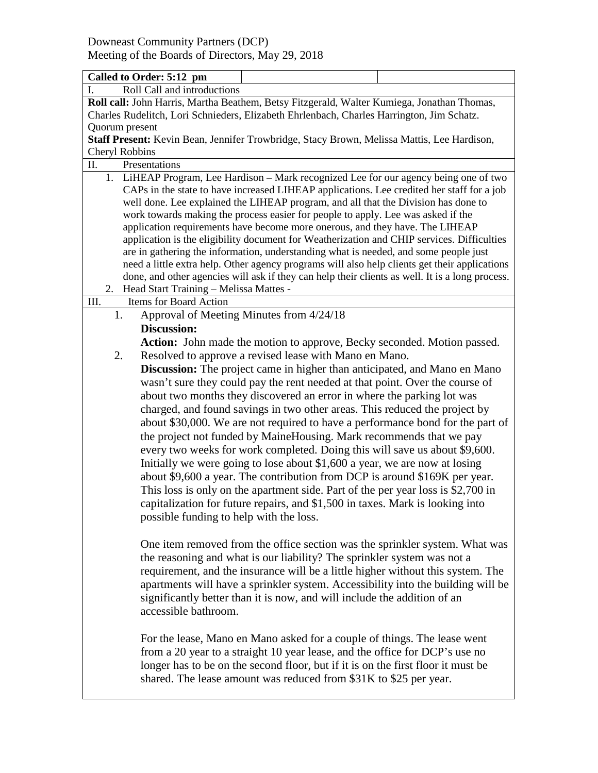| Called to Order: 5:12 pm                                                                                                                                                                                                                                                                                                                                                                                                                                                                                                                                                                                                                                                                                                                                                                                                                                                                                                                    |                                                                                                                                                                                                                                                                                                                                                                                                           |  |  |  |  |  |
|---------------------------------------------------------------------------------------------------------------------------------------------------------------------------------------------------------------------------------------------------------------------------------------------------------------------------------------------------------------------------------------------------------------------------------------------------------------------------------------------------------------------------------------------------------------------------------------------------------------------------------------------------------------------------------------------------------------------------------------------------------------------------------------------------------------------------------------------------------------------------------------------------------------------------------------------|-----------------------------------------------------------------------------------------------------------------------------------------------------------------------------------------------------------------------------------------------------------------------------------------------------------------------------------------------------------------------------------------------------------|--|--|--|--|--|
| Roll Call and introductions<br>I.                                                                                                                                                                                                                                                                                                                                                                                                                                                                                                                                                                                                                                                                                                                                                                                                                                                                                                           |                                                                                                                                                                                                                                                                                                                                                                                                           |  |  |  |  |  |
| Roll call: John Harris, Martha Beathem, Betsy Fitzgerald, Walter Kumiega, Jonathan Thomas,                                                                                                                                                                                                                                                                                                                                                                                                                                                                                                                                                                                                                                                                                                                                                                                                                                                  |                                                                                                                                                                                                                                                                                                                                                                                                           |  |  |  |  |  |
|                                                                                                                                                                                                                                                                                                                                                                                                                                                                                                                                                                                                                                                                                                                                                                                                                                                                                                                                             | Charles Rudelitch, Lori Schnieders, Elizabeth Ehrlenbach, Charles Harrington, Jim Schatz.                                                                                                                                                                                                                                                                                                                 |  |  |  |  |  |
| Quorum present                                                                                                                                                                                                                                                                                                                                                                                                                                                                                                                                                                                                                                                                                                                                                                                                                                                                                                                              |                                                                                                                                                                                                                                                                                                                                                                                                           |  |  |  |  |  |
| Staff Present: Kevin Bean, Jennifer Trowbridge, Stacy Brown, Melissa Mattis, Lee Hardison,                                                                                                                                                                                                                                                                                                                                                                                                                                                                                                                                                                                                                                                                                                                                                                                                                                                  |                                                                                                                                                                                                                                                                                                                                                                                                           |  |  |  |  |  |
| Cheryl Robbins                                                                                                                                                                                                                                                                                                                                                                                                                                                                                                                                                                                                                                                                                                                                                                                                                                                                                                                              |                                                                                                                                                                                                                                                                                                                                                                                                           |  |  |  |  |  |
| Π.<br>Presentations                                                                                                                                                                                                                                                                                                                                                                                                                                                                                                                                                                                                                                                                                                                                                                                                                                                                                                                         |                                                                                                                                                                                                                                                                                                                                                                                                           |  |  |  |  |  |
| 1. LiHEAP Program, Lee Hardison - Mark recognized Lee for our agency being one of two<br>CAPs in the state to have increased LIHEAP applications. Lee credited her staff for a job<br>well done. Lee explained the LIHEAP program, and all that the Division has done to<br>work towards making the process easier for people to apply. Lee was asked if the<br>application requirements have become more onerous, and they have. The LIHEAP<br>application is the eligibility document for Weatherization and CHIP services. Difficulties<br>are in gathering the information, understanding what is needed, and some people just<br>need a little extra help. Other agency programs will also help clients get their applications<br>done, and other agencies will ask if they can help their clients as well. It is a long process.<br>Head Start Training - Melissa Mattes -<br>2.                                                      |                                                                                                                                                                                                                                                                                                                                                                                                           |  |  |  |  |  |
| Items for Board Action<br>III.                                                                                                                                                                                                                                                                                                                                                                                                                                                                                                                                                                                                                                                                                                                                                                                                                                                                                                              |                                                                                                                                                                                                                                                                                                                                                                                                           |  |  |  |  |  |
| 1.                                                                                                                                                                                                                                                                                                                                                                                                                                                                                                                                                                                                                                                                                                                                                                                                                                                                                                                                          | Approval of Meeting Minutes from 4/24/18                                                                                                                                                                                                                                                                                                                                                                  |  |  |  |  |  |
| <b>Discussion:</b>                                                                                                                                                                                                                                                                                                                                                                                                                                                                                                                                                                                                                                                                                                                                                                                                                                                                                                                          |                                                                                                                                                                                                                                                                                                                                                                                                           |  |  |  |  |  |
|                                                                                                                                                                                                                                                                                                                                                                                                                                                                                                                                                                                                                                                                                                                                                                                                                                                                                                                                             | Action: John made the motion to approve, Becky seconded. Motion passed.                                                                                                                                                                                                                                                                                                                                   |  |  |  |  |  |
| 2.                                                                                                                                                                                                                                                                                                                                                                                                                                                                                                                                                                                                                                                                                                                                                                                                                                                                                                                                          | Resolved to approve a revised lease with Mano en Mano.                                                                                                                                                                                                                                                                                                                                                    |  |  |  |  |  |
|                                                                                                                                                                                                                                                                                                                                                                                                                                                                                                                                                                                                                                                                                                                                                                                                                                                                                                                                             |                                                                                                                                                                                                                                                                                                                                                                                                           |  |  |  |  |  |
| <b>Discussion:</b> The project came in higher than anticipated, and Mano en Mano<br>wasn't sure they could pay the rent needed at that point. Over the course of<br>about two months they discovered an error in where the parking lot was<br>charged, and found savings in two other areas. This reduced the project by<br>about \$30,000. We are not required to have a performance bond for the part of<br>the project not funded by MaineHousing. Mark recommends that we pay<br>every two weeks for work completed. Doing this will save us about \$9,600.<br>Initially we were going to lose about \$1,600 a year, we are now at losing<br>about \$9,600 a year. The contribution from DCP is around \$169K per year.<br>This loss is only on the apartment side. Part of the per year loss is \$2,700 in<br>capitalization for future repairs, and \$1,500 in taxes. Mark is looking into<br>possible funding to help with the loss. |                                                                                                                                                                                                                                                                                                                                                                                                           |  |  |  |  |  |
| accessible bathroom.                                                                                                                                                                                                                                                                                                                                                                                                                                                                                                                                                                                                                                                                                                                                                                                                                                                                                                                        | One item removed from the office section was the sprinkler system. What was<br>the reasoning and what is our liability? The sprinkler system was not a<br>requirement, and the insurance will be a little higher without this system. The<br>apartments will have a sprinkler system. Accessibility into the building will be<br>significantly better than it is now, and will include the addition of an |  |  |  |  |  |
|                                                                                                                                                                                                                                                                                                                                                                                                                                                                                                                                                                                                                                                                                                                                                                                                                                                                                                                                             | For the lease, Mano en Mano asked for a couple of things. The lease went<br>from a 20 year to a straight 10 year lease, and the office for DCP's use no<br>longer has to be on the second floor, but if it is on the first floor it must be<br>shared. The lease amount was reduced from \$31K to \$25 per year.                                                                                          |  |  |  |  |  |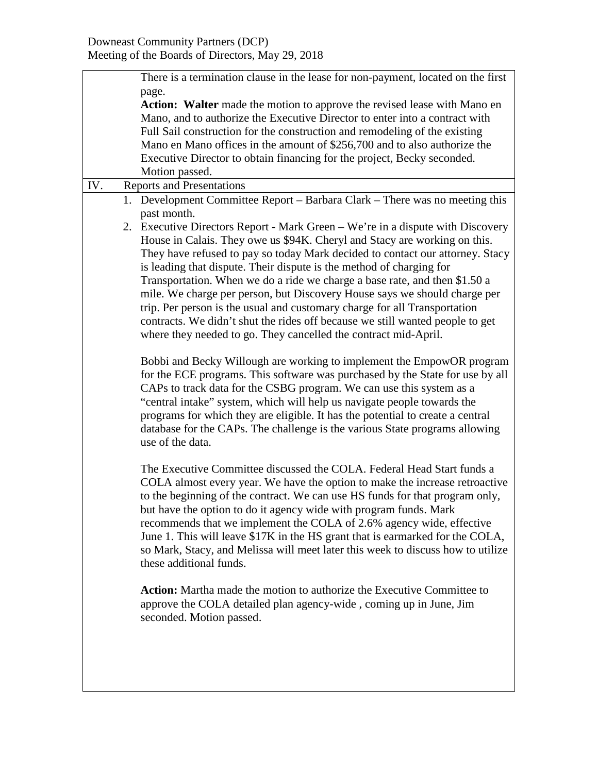|     | There is a termination clause in the lease for non-payment, located on the first                                                                                                                                                                                                                                                                                                                                                                                                                                                                                                                                                                                                                                 |  |  |  |
|-----|------------------------------------------------------------------------------------------------------------------------------------------------------------------------------------------------------------------------------------------------------------------------------------------------------------------------------------------------------------------------------------------------------------------------------------------------------------------------------------------------------------------------------------------------------------------------------------------------------------------------------------------------------------------------------------------------------------------|--|--|--|
|     | page.<br>Action: Walter made the motion to approve the revised lease with Mano en<br>Mano, and to authorize the Executive Director to enter into a contract with<br>Full Sail construction for the construction and remodeling of the existing<br>Mano en Mano offices in the amount of \$256,700 and to also authorize the<br>Executive Director to obtain financing for the project, Becky seconded.                                                                                                                                                                                                                                                                                                           |  |  |  |
|     | Motion passed.                                                                                                                                                                                                                                                                                                                                                                                                                                                                                                                                                                                                                                                                                                   |  |  |  |
| IV. | <b>Reports and Presentations</b>                                                                                                                                                                                                                                                                                                                                                                                                                                                                                                                                                                                                                                                                                 |  |  |  |
|     | 1. Development Committee Report – Barbara Clark – There was no meeting this<br>past month.                                                                                                                                                                                                                                                                                                                                                                                                                                                                                                                                                                                                                       |  |  |  |
|     | 2. Executive Directors Report - Mark Green – We're in a dispute with Discovery<br>House in Calais. They owe us \$94K. Cheryl and Stacy are working on this.<br>They have refused to pay so today Mark decided to contact our attorney. Stacy<br>is leading that dispute. Their dispute is the method of charging for<br>Transportation. When we do a ride we charge a base rate, and then \$1.50 a<br>mile. We charge per person, but Discovery House says we should charge per<br>trip. Per person is the usual and customary charge for all Transportation<br>contracts. We didn't shut the rides off because we still wanted people to get<br>where they needed to go. They cancelled the contract mid-April. |  |  |  |
|     | Bobbi and Becky Willough are working to implement the EmpowOR program<br>for the ECE programs. This software was purchased by the State for use by all<br>CAPs to track data for the CSBG program. We can use this system as a<br>"central intake" system, which will help us navigate people towards the<br>programs for which they are eligible. It has the potential to create a central<br>database for the CAPs. The challenge is the various State programs allowing<br>use of the data.                                                                                                                                                                                                                   |  |  |  |
|     | The Executive Committee discussed the COLA. Federal Head Start funds a<br>COLA almost every year. We have the option to make the increase retroactive<br>to the beginning of the contract. We can use HS funds for that program only,<br>but have the option to do it agency wide with program funds. Mark<br>recommends that we implement the COLA of 2.6% agency wide, effective<br>June 1. This will leave \$17K in the HS grant that is earmarked for the COLA,<br>so Mark, Stacy, and Melissa will meet later this week to discuss how to utilize<br>these additional funds.                                                                                                                                |  |  |  |
|     | <b>Action:</b> Martha made the motion to authorize the Executive Committee to<br>approve the COLA detailed plan agency-wide, coming up in June, Jim<br>seconded. Motion passed.                                                                                                                                                                                                                                                                                                                                                                                                                                                                                                                                  |  |  |  |
|     |                                                                                                                                                                                                                                                                                                                                                                                                                                                                                                                                                                                                                                                                                                                  |  |  |  |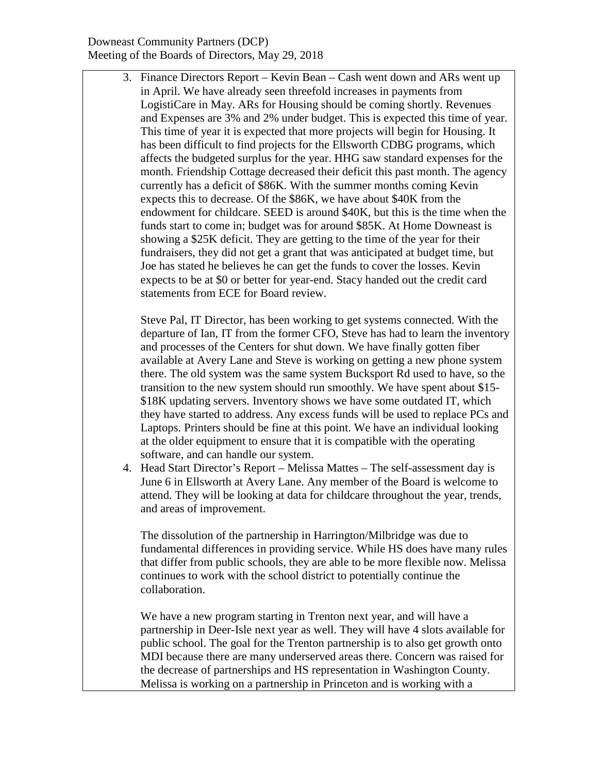3. Finance Directors Report – Kevin Bean – Cash went down and ARs went up in April. We have already seen threefold increases in payments from LogistiCare in May. ARs for Housing should be coming shortly. Revenues and Expenses are 3% and 2% under budget. This is expected this time of year. This time of year it is expected that more projects will begin for Housing. It has been difficult to find projects for the Ellsworth CDBG programs, which affects the budgeted surplus for the year. HHG saw standard expenses for the month. Friendship Cottage decreased their deficit this past month. The agency currently has a deficit of \$86K. With the summer months coming Kevin expects this to decrease. Of the \$86K, we have about \$40K from the endowment for childcare. SEED is around \$40K, but this is the time when the funds start to come in; budget was for around \$85K. At Home Downeast is showing a \$25K deficit. They are getting to the time of the year for their fundraisers, they did not get a grant that was anticipated at budget time, but Joe has stated he believes he can get the funds to cover the losses. Kevin expects to be at \$0 or better for year-end. Stacy handed out the credit card statements from ECE for Board review.

Steve Pal, IT Director, has been working to get systems connected. With the departure of Ian, IT from the former CFO, Steve has had to learn the inventory and processes of the Centers for shut down. We have finally gotten fiber available at Avery Lane and Steve is working on getting a new phone system there. The old system was the same system Bucksport Rd used to have, so the transition to the new system should run smoothly. We have spent about \$15- \$18K updating servers. Inventory shows we have some outdated IT, which they have started to address. Any excess funds will be used to replace PCs and Laptops. Printers should be fine at this point. We have an individual looking at the older equipment to ensure that it is compatible with the operating software, and can handle our system.

4. Head Start Director's Report – Melissa Mattes – The self-assessment day is June 6 in Ellsworth at Avery Lane. Any member of the Board is welcome to attend. They will be looking at data for childcare throughout the year, trends, and areas of improvement.

The dissolution of the partnership in Harrington/Milbridge was due to fundamental differences in providing service. While HS does have many rules that differ from public schools, they are able to be more flexible now. Melissa continues to work with the school district to potentially continue the collaboration.

We have a new program starting in Trenton next year, and will have a partnership in Deer-Isle next year as well. They will have 4 slots available for public school. The goal for the Trenton partnership is to also get growth onto MDI because there are many underserved areas there. Concern was raised for the decrease of partnerships and HS representation in Washington County. Melissa is working on a partnership in Princeton and is working with a